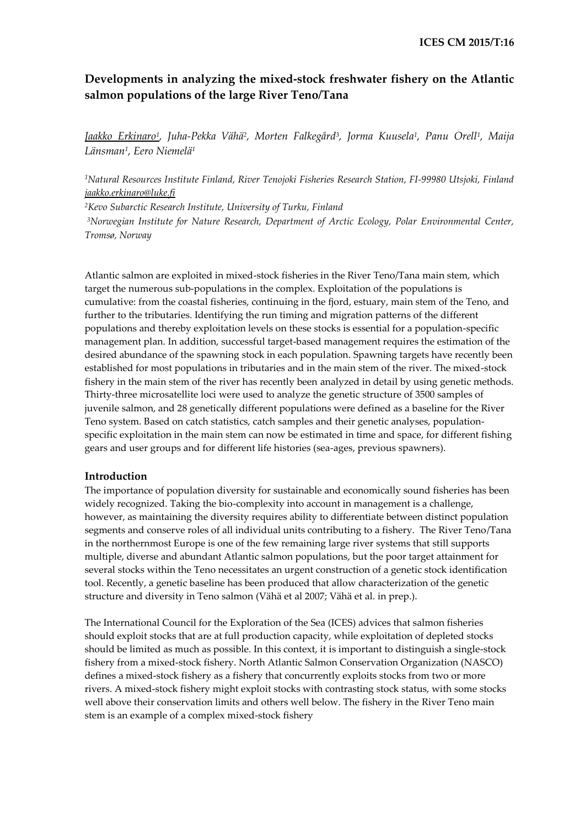# **Developments in analyzing the mixed-stock freshwater fishery on the Atlantic salmon populations of the large River Teno/Tana**

*Jaakko Erkinaro<sup>1</sup> , Juha-Pekka Vähä<sup>2</sup> , Morten Falkegård<sup>3</sup> , Jorma Kuusela<sup>1</sup> , Panu Orell<sup>1</sup> , Maija Länsman<sup>1</sup> , Eero Niemelä<sup>1</sup>*

*<sup>1</sup>Natural Resources Institute Finland, River Tenojoki Fisheries Research Station, FI-99980 Utsjoki, Finland [jaakko.erkinaro@luke.fi](mailto:jaakko.erkinaro@luke.fi)*

*<sup>2</sup>Kevo Subarctic Research Institute, University of Turku, Finland <sup>3</sup>Norwegian Institute for Nature Research, Department of Arctic Ecology, Polar Environmental Center, Tromsø, Norway*

Atlantic salmon are exploited in mixed-stock fisheries in the River Teno/Tana main stem, which target the numerous sub-populations in the complex. Exploitation of the populations is cumulative: from the coastal fisheries, continuing in the fjord, estuary, main stem of the Teno, and further to the tributaries. Identifying the run timing and migration patterns of the different populations and thereby exploitation levels on these stocks is essential for a population-specific management plan. In addition, successful target-based management requires the estimation of the desired abundance of the spawning stock in each population. Spawning targets have recently been established for most populations in tributaries and in the main stem of the river. The mixed-stock fishery in the main stem of the river has recently been analyzed in detail by using genetic methods. Thirty-three microsatellite loci were used to analyze the genetic structure of 3500 samples of juvenile salmon, and 28 genetically different populations were defined as a baseline for the River Teno system. Based on catch statistics, catch samples and their genetic analyses, populationspecific exploitation in the main stem can now be estimated in time and space, for different fishing gears and user groups and for different life histories (sea-ages, previous spawners).

# **Introduction**

The importance of population diversity for sustainable and economically sound fisheries has been widely recognized. Taking the bio-complexity into account in management is a challenge, however, as maintaining the diversity requires ability to differentiate between distinct population segments and conserve roles of all individual units contributing to a fishery. The River Teno/Tana in the northernmost Europe is one of the few remaining large river systems that still supports multiple, diverse and abundant Atlantic salmon populations, but the poor target attainment for several stocks within the Teno necessitates an urgent construction of a genetic stock identification tool. Recently, a genetic baseline has been produced that allow characterization of the genetic structure and diversity in Teno salmon (Vähä et al 2007; Vähä et al. in prep.).

The International Council for the Exploration of the Sea (ICES) advices that salmon fisheries should exploit stocks that are at full production capacity, while exploitation of depleted stocks should be limited as much as possible. In this context, it is important to distinguish a single-stock fishery from a mixed-stock fishery. North Atlantic Salmon Conservation Organization (NASCO) defines a mixed-stock fishery as a fishery that concurrently exploits stocks from two or more rivers. A mixed-stock fishery might exploit stocks with contrasting stock status, with some stocks well above their conservation limits and others well below. The fishery in the River Teno main stem is an example of a complex mixed-stock fishery